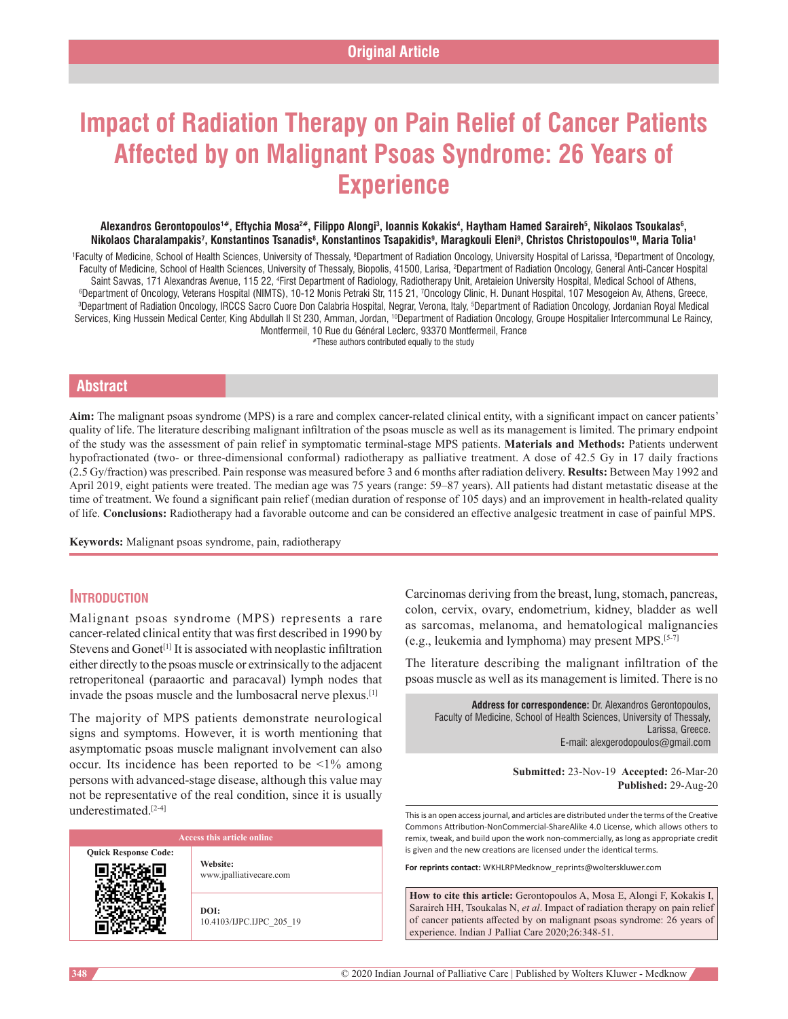# **Impact of Radiation Therapy on Pain Relief of Cancer Patients Affected by on Malignant Psoas Syndrome: 26 Years of Experience**

#### Alexandros Gerontopoulos'#, Eftychia Mosa<sup>2#</sup>, Filippo Alongi<sup>3</sup>, Ioannis Kokakis<sup>4</sup>, Haytham Hamed Saraireh<sup>5</sup>, Nikolaos Tsoukalas<sup>6</sup>, **Nikolaos Charalampakis7 , Konstantinos Tsanadis8 , Konstantinos Tsapakidis9 , Maragkouli Eleni9 , Christos Christopoulos10, Maria Tolia1**

<sup>1</sup>Faculty of Medicine, School of Health Sciences, University of Thessaly, <sup>8</sup>Department of Radiation Oncology, University Hospital of Larissa, <sup>9</sup>Department of Oncology, Faculty of Medicine, School of Health Sciences, University of Thessaly, Biopolis, 41500, Larisa, 2 Department of Radiation Oncology, General Anti-Cancer Hospital Saint Savvas, 171 Alexandras Avenue, 115 22, <sup>4</sup>First Department of Radiology, Radiotherapy Unit, Aretaieion University Hospital, Medical School of Athens,<br>Openartment of Oncology, Veterans Hospital, NIMTS), 10-12 Monis Pe ©Department of Oncology, Veterans Hospital (NIMTS), 10-12 Monis Petraki Str, 115 21, 70ncology Clinic, H. Dunant Hospital, 107 Mesogeion Av, Athens, Greece,<br>©Department of Badiation Oncology, IBCCS Sacro Cuore Don Calabria Department of Radiation Oncology, IRCCS Sacro Cuore Don Calabria Hospital, Negrar, Verona, Italy, <sup>s</sup>Department of Radiation Oncology, Jordanian Royal Medical Services, King Hussein Medical Center, King Abdullah II St 230, Amman, Jordan, <sup>10</sup>Department of Radiation Oncology, Groupe Hospitalier Intercommunal Le Raincy, Montfermeil, 10 Rue du Général Leclerc, 93370 Montfermeil, France

#These authors contributed equally to the study

## **Abstract**

**Aim:** The malignant psoas syndrome (MPS) is a rare and complex cancer‑related clinical entity, with a significant impact on cancer patients' quality of life. The literature describing malignant infiltration of the psoas muscle as well as its management is limited. The primary endpoint of the study was the assessment of pain relief in symptomatic terminal‑stage MPS patients. **Materials and Methods:** Patients underwent hypofractionated (two- or three-dimensional conformal) radiotherapy as palliative treatment. A dose of 42.5 Gy in 17 daily fractions (2.5 Gy/fraction) was prescribed. Pain response was measured before 3 and 6 months after radiation delivery. **Results:** Between May 1992 and April 2019, eight patients were treated. The median age was 75 years (range: 59–87 years). All patients had distant metastatic disease at the time of treatment. We found a significant pain relief (median duration of response of 105 days) and an improvement in health-related quality of life. **Conclusions:** Radiotherapy had a favorable outcome and can be considered an effective analgesic treatment in case of painful MPS.

**Keywords:** Malignant psoas syndrome, pain, radiotherapy

# **Introduction**

Malignant psoas syndrome (MPS) represents a rare cancer‑related clinical entity that was first described in 1990 by Stevens and Gonet<sup>[1]</sup> It is associated with neoplastic infiltration either directly to the psoas muscle or extrinsically to the adjacent retroperitoneal (paraaortic and paracaval) lymph nodes that invade the psoas muscle and the lumbosacral nerve plexus.<sup>[1]</sup>

The majority of MPS patients demonstrate neurological signs and symptoms. However, it is worth mentioning that asymptomatic psoas muscle malignant involvement can also occur. Its incidence has been reported to be  $\leq 1\%$  among persons with advanced‑stage disease, although this value may not be representative of the real condition, since it is usually underestimated<sup>[2-4]</sup>

| <b>Access this article online</b> |                                     |  |
|-----------------------------------|-------------------------------------|--|
| <b>Quick Response Code:</b>       | Website:<br>www.jpalliativecare.com |  |
|                                   | DOI:<br>10.4103/IJPC.IJPC 205 19    |  |

Carcinomas deriving from the breast, lung, stomach, pancreas, colon, cervix, ovary, endometrium, kidney, bladder as well as sarcomas, melanoma, and hematological malignancies (e.g., leukemia and lymphoma) may present MPS.[5‑7]

The literature describing the malignant infiltration of the psoas muscle as well as its management is limited. There is no

**Address for correspondence:** Dr. Alexandros Gerontopoulos, Faculty of Medicine, School of Health Sciences, University of Thessaly, Larissa, Greece. E-mail: alexgerodopoulos@gmail.com

> **Submitted:** 23-Nov-19 **Accepted:** 26-Mar-20 **Published:** 29-Aug-20

This is an open access journal, and articles are distributed under the terms of the Creative Commons Attribution‑NonCommercial‑ShareAlike 4.0 License, which allows others to remix, tweak, and build upon the work non‑commercially, as long as appropriate credit is given and the new creations are licensed under the identical terms.

**For reprints contact:** WKHLRPMedknow\_reprints@wolterskluwer.com

**How to cite this article:** Gerontopoulos A, Mosa E, Alongi F, Kokakis I, Saraireh HH, Tsoukalas N, *et al*. Impact of radiation therapy on pain relief of cancer patients affected by on malignant psoas syndrome: 26 years of experience. Indian J Palliat Care 2020;26:348-51.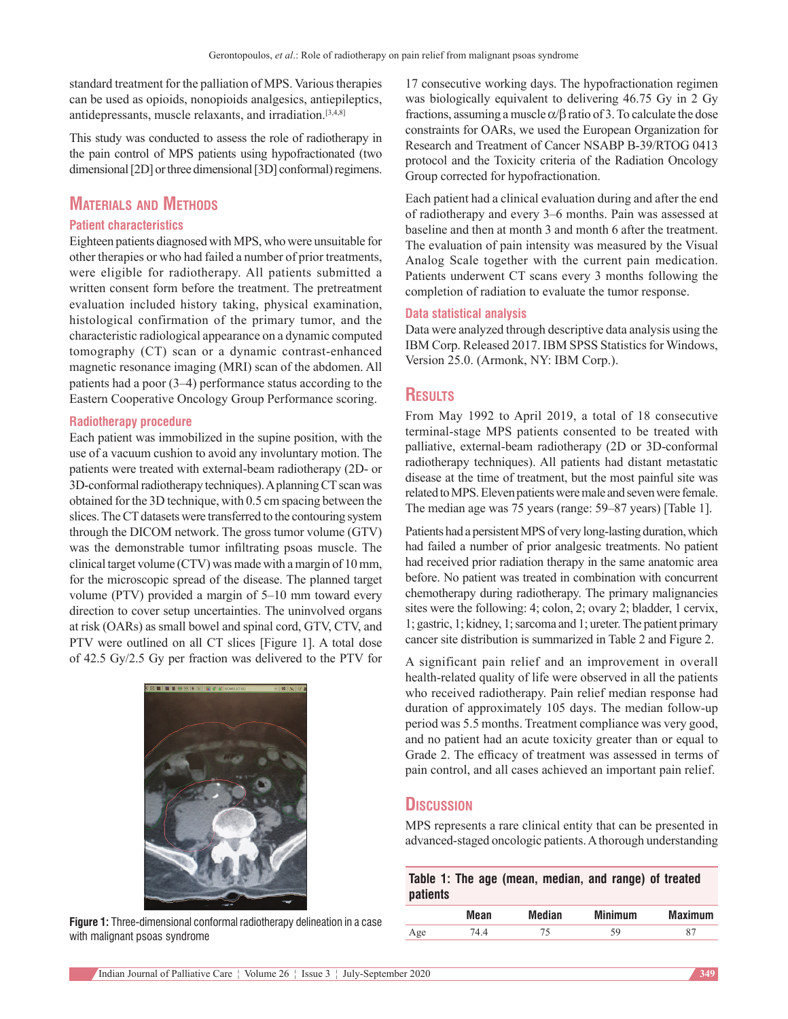standard treatment for the palliation of MPS. Various therapies can be used as opioids, nonopioids analgesics, antiepileptics, antidepressants, muscle relaxants, and irradiation.[3,4,8]

This study was conducted to assess the role of radiotherapy in the pain control of MPS patients using hypofractionated (two dimensional [2D] or three dimensional [3D] conformal) regimens.

# **Materials and Methods**

#### **Patient characteristics**

Eighteen patients diagnosed with MPS, who were unsuitable for other therapies or who had failed a number of prior treatments, were eligible for radiotherapy. All patients submitted a written consent form before the treatment. The pretreatment evaluation included history taking, physical examination, histological confirmation of the primary tumor, and the characteristic radiological appearance on a dynamic computed tomography (CT) scan or a dynamic contrast-enhanced magnetic resonance imaging (MRI) scan of the abdomen. All patients had a poor (3–4) performance status according to the Eastern Cooperative Oncology Group Performance scoring.

#### **Radiotherapy procedure**

Each patient was immobilized in the supine position, with the use of a vacuum cushion to avoid any involuntary motion. The patients were treated with external-beam radiotherapy (2D- or 3D‑conformal radiotherapy techniques). Aplanning CT scan was obtained for the 3D technique, with 0.5 cm spacing between the slices. The CT datasets were transferred to the contouring system through the DICOM network. The gross tumor volume (GTV) was the demonstrable tumor infiltrating psoas muscle. The clinical target volume (CTV) was made with a margin of 10 mm, for the microscopic spread of the disease. The planned target volume (PTV) provided a margin of 5–10 mm toward every direction to cover setup uncertainties. The uninvolved organs at risk (OARs) as small bowel and spinal cord, GTV, CTV, and PTV were outlined on all CT slices [Figure 1]. A total dose of 42.5 Gy/2.5 Gy per fraction was delivered to the PTV for



**Figure 1:** Three-dimensional conformal radiotherapy delineation in a case with malignant psoas syndrome

17 consecutive working days. The hypofractionation regimen was biologically equivalent to delivering 46.75 Gy in 2 Gy fractions, assuming a muscle  $\alpha/\beta$  ratio of 3. To calculate the dose constraints for OARs, we used the European Organization for Research and Treatment of Cancer NSABP B‑39/RTOG 0413 protocol and the Toxicity criteria of the Radiation Oncology Group corrected for hypofractionation.

Each patient had a clinical evaluation during and after the end of radiotherapy and every 3–6 months. Pain was assessed at baseline and then at month 3 and month 6 after the treatment. The evaluation of pain intensity was measured by the Visual Analog Scale together with the current pain medication. Patients underwent CT scans every 3 months following the completion of radiation to evaluate the tumor response.

#### **Data statistical analysis**

Data were analyzed through descriptive data analysis using the IBM Corp. Released 2017. IBM SPSS Statistics for Windows, Version 25.0. (Armonk, NY: IBM Corp.).

# **Results**

From May 1992 to April 2019, a total of 18 consecutive terminal‑stage MPS patients consented to be treated with palliative, external-beam radiotherapy (2D or 3D-conformal radiotherapy techniques). All patients had distant metastatic disease at the time of treatment, but the most painful site was related to MPS. Eleven patients were male and seven were female. The median age was 75 years (range: 59–87 years) [Table 1].

Patients had a persistent MPS of very long-lasting duration, which had failed a number of prior analgesic treatments. No patient had received prior radiation therapy in the same anatomic area before. No patient was treated in combination with concurrent chemotherapy during radiotherapy. The primary malignancies sites were the following: 4; colon, 2; ovary 2; bladder, 1 cervix, 1; gastric, 1; kidney, 1; sarcoma and 1; ureter. The patient primary cancer site distribution is summarized in Table 2 and Figure 2.

A significant pain relief and an improvement in overall health-related quality of life were observed in all the patients who received radiotherapy. Pain relief median response had duration of approximately 105 days. The median follow‑up period was 5.5 months. Treatment compliance was very good, and no patient had an acute toxicity greater than or equal to Grade 2. The efficacy of treatment was assessed in terms of pain control, and all cases achieved an important pain relief.

## **Discussion**

MPS represents a rare clinical entity that can be presented in advanced‑staged oncologic patients. Athorough understanding

| <b>patients</b> |      |        | Table 1: The age (mean, median, and range) of treated |                |
|-----------------|------|--------|-------------------------------------------------------|----------------|
|                 | Mean | Median | <b>Minimum</b>                                        | <b>Maximum</b> |
| Age             | 74.4 | 75     | 59                                                    | 87             |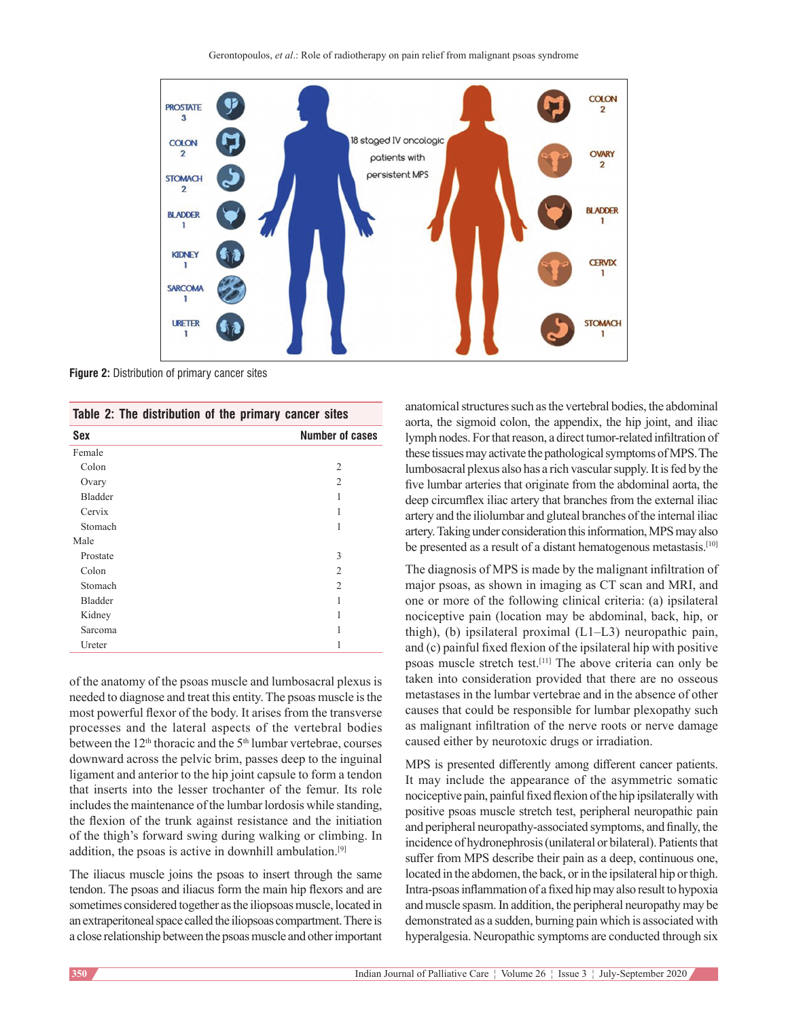

**Figure 2:** Distribution of primary cancer sites

| Table 2: The distribution of the primary cancer sites |  |
|-------------------------------------------------------|--|
|-------------------------------------------------------|--|

| Sex      | <b>Number of cases</b> |
|----------|------------------------|
| Female   |                        |
| Colon    | $\overline{c}$         |
| Ovary    | $\overline{c}$         |
| Bladder  | 1                      |
| Cervix   | 1                      |
| Stomach  | 1                      |
| Male     |                        |
| Prostate | 3                      |
| Colon    | 2                      |
| Stomach  | $\overline{c}$         |
| Bladder  | 1                      |
| Kidney   | 1                      |
| Sarcoma  |                        |
| Ureter   | 1                      |

of the anatomy of the psoas muscle and lumbosacral plexus is needed to diagnose and treat this entity. The psoas muscle is the most powerful flexor of the body. It arises from the transverse processes and the lateral aspects of the vertebral bodies between the 12<sup>th</sup> thoracic and the 5<sup>th</sup> lumbar vertebrae, courses downward across the pelvic brim, passes deep to the inguinal ligament and anterior to the hip joint capsule to form a tendon that inserts into the lesser trochanter of the femur. Its role includes the maintenance of the lumbar lordosis while standing, the flexion of the trunk against resistance and the initiation of the thigh's forward swing during walking or climbing. In addition, the psoas is active in downhill ambulation.<sup>[9]</sup>

The iliacus muscle joins the psoas to insert through the same tendon. The psoas and iliacus form the main hip flexors and are sometimes considered together as the iliopsoas muscle, located in an extraperitoneal space called the iliopsoas compartment. There is a close relationship between the psoas muscle and other important anatomical structures such as the vertebral bodies, the abdominal aorta, the sigmoid colon, the appendix, the hip joint, and iliac lymph nodes. For that reason, a direct tumor-related infiltration of these tissues may activate the pathological symptoms of MPS. Τhe lumbosacral plexus also has a rich vascular supply. It is fed by the five lumbar arteries that originate from the abdominal aorta, the deep circumflex iliac artery that branches from the external iliac artery and the iliolumbar and gluteal branches of the internal iliac artery. Taking under consideration this information, MPS may also be presented as a result of a distant hematogenous metastasis.<sup>[10]</sup>

The diagnosis of MPS is made by the malignant infiltration of major psoas, as shown in imaging as CT scan and MRI, and one or more of the following clinical criteria: (a) ipsilateral nociceptive pain (location may be abdominal, back, hip, or thigh), (b) ipsilateral proximal (L1–L3) neuropathic pain, and (c) painful fixed flexion of the ipsilateral hip with positive psoas muscle stretch test.[11] The above criteria can only be taken into consideration provided that there are no osseous metastases in the lumbar vertebrae and in the absence of other causes that could be responsible for lumbar plexopathy such as malignant infiltration of the nerve roots or nerve damage caused either by neurotoxic drugs or irradiation.

MPS is presented differently among different cancer patients. It may include the appearance of the asymmetric somatic nociceptive pain, painful fixed flexion of the hip ipsilaterally with positive psoas muscle stretch test, peripheral neuropathic pain and peripheral neuropathy‑associated symptoms, and finally, the incidence of hydronephrosis(unilateral or bilateral). Patients that suffer from MPS describe their pain as a deep, continuous one, located in the abdomen, the back, or in the ipsilateral hip or thigh. Intra‑psoas inflammation of a fixed hip may also result to hypoxia and muscle spasm. In addition, the peripheral neuropathy may be demonstrated as a sudden, burning pain which is associated with hyperalgesia. Neuropathic symptoms are conducted through six